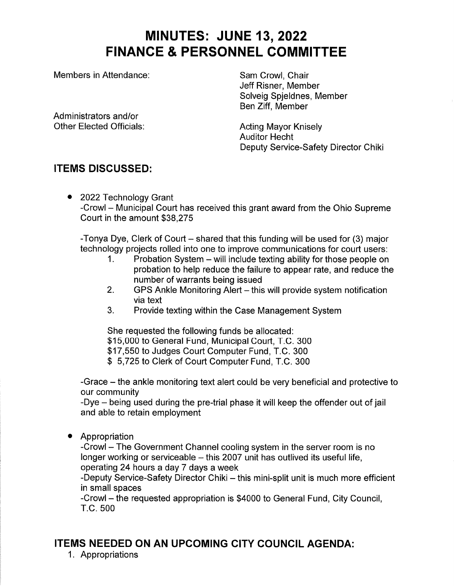# **MINUTES: JUNE 13, 2022 FINANCE & PERSONNEL COMMITTEE**

Members in Attendance:

Sam Crowl. Chair Jeff Risner, Member Solveig Spieldnes, Member Ben Ziff, Member

Administrators and/or **Other Elected Officials:** 

**Acting Mayor Kniselv Auditor Hecht** Deputy Service-Safety Director Chiki

# **ITEMS DISCUSSED:**

• 2022 Technology Grant -Crowl – Municipal Court has received this grant award from the Ohio Supreme Court in the amount \$38,275

-Tonya Dye, Clerk of Court – shared that this funding will be used for (3) major technology projects rolled into one to improve communications for court users:

- Probation System will include texting ability for those people on  $\mathbf 1$ . probation to help reduce the failure to appear rate, and reduce the number of warrants being issued
- $2<sub>1</sub>$ GPS Ankle Monitoring Alert - this will provide system notification via text
- $3<sub>1</sub>$ Provide texting within the Case Management System

She requested the following funds be allocated: \$15,000 to General Fund, Municipal Court, T.C. 300 \$17,550 to Judges Court Computer Fund, T.C. 300 \$5,725 to Clerk of Court Computer Fund, T.C. 300

-Grace – the ankle monitoring text alert could be very beneficial and protective to our community

-Dye - being used during the pre-trial phase it will keep the offender out of jail and able to retain employment

Appropriation

-Crowl - The Government Channel cooling system in the server room is no longer working or serviceable - this 2007 unit has outlived its useful life, operating 24 hours a day 7 days a week

-Deputy Service-Safety Director Chiki - this mini-split unit is much more efficient in small spaces

-Crowl - the requested appropriation is \$4000 to General Fund, City Council, T.C. 500

## **ITEMS NEEDED ON AN UPCOMING CITY COUNCIL AGENDA:**

1. Appropriations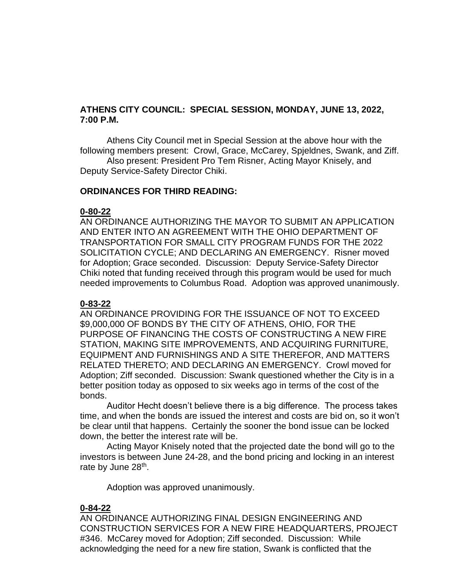## **ATHENS CITY COUNCIL: SPECIAL SESSION, MONDAY, JUNE 13, 2022, 7:00 P.M.**

Athens City Council met in Special Session at the above hour with the following members present: Crowl, Grace, McCarey, Spjeldnes, Swank, and Ziff.

Also present: President Pro Tem Risner, Acting Mayor Knisely, and Deputy Service-Safety Director Chiki.

#### **ORDINANCES FOR THIRD READING:**

#### **0-80-22**

AN ORDINANCE AUTHORIZING THE MAYOR TO SUBMIT AN APPLICATION AND ENTER INTO AN AGREEMENT WITH THE OHIO DEPARTMENT OF TRANSPORTATION FOR SMALL CITY PROGRAM FUNDS FOR THE 2022 SOLICITATION CYCLE; AND DECLARING AN EMERGENCY. Risner moved for Adoption; Grace seconded. Discussion: Deputy Service-Safety Director Chiki noted that funding received through this program would be used for much needed improvements to Columbus Road. Adoption was approved unanimously.

#### **0-83-22**

AN ORDINANCE PROVIDING FOR THE ISSUANCE OF NOT TO EXCEED \$9,000,000 OF BONDS BY THE CITY OF ATHENS, OHIO, FOR THE PURPOSE OF FINANCING THE COSTS OF CONSTRUCTING A NEW FIRE STATION, MAKING SITE IMPROVEMENTS, AND ACQUIRING FURNITURE, EQUIPMENT AND FURNISHINGS AND A SITE THEREFOR, AND MATTERS RELATED THERETO; AND DECLARING AN EMERGENCY. Crowl moved for Adoption; Ziff seconded. Discussion: Swank questioned whether the City is in a better position today as opposed to six weeks ago in terms of the cost of the bonds.

Auditor Hecht doesn't believe there is a big difference. The process takes time, and when the bonds are issued the interest and costs are bid on, so it won't be clear until that happens. Certainly the sooner the bond issue can be locked down, the better the interest rate will be.

Acting Mayor Knisely noted that the projected date the bond will go to the investors is between June 24-28, and the bond pricing and locking in an interest rate by June 28<sup>th</sup>.

Adoption was approved unanimously.

## **0-84-22**

AN ORDINANCE AUTHORIZING FINAL DESIGN ENGINEERING AND CONSTRUCTION SERVICES FOR A NEW FIRE HEADQUARTERS, PROJECT #346. McCarey moved for Adoption; Ziff seconded. Discussion: While acknowledging the need for a new fire station, Swank is conflicted that the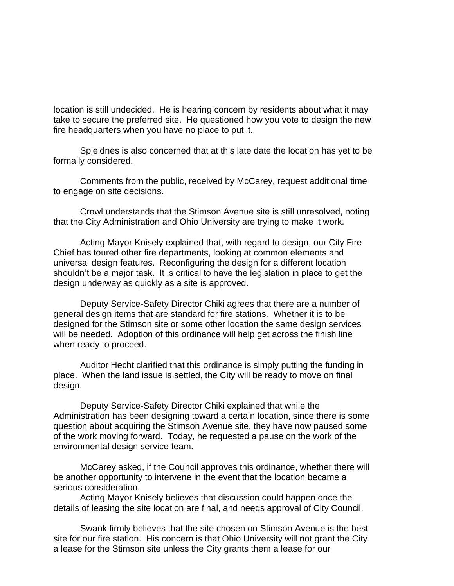location is still undecided. He is hearing concern by residents about what it may take to secure the preferred site. He questioned how you vote to design the new fire headquarters when you have no place to put it.

Spjeldnes is also concerned that at this late date the location has yet to be formally considered.

Comments from the public, received by McCarey, request additional time to engage on site decisions.

Crowl understands that the Stimson Avenue site is still unresolved, noting that the City Administration and Ohio University are trying to make it work.

Acting Mayor Knisely explained that, with regard to design, our City Fire Chief has toured other fire departments, looking at common elements and universal design features. Reconfiguring the design for a different location shouldn't be a major task. It is critical to have the legislation in place to get the design underway as quickly as a site is approved.

Deputy Service-Safety Director Chiki agrees that there are a number of general design items that are standard for fire stations. Whether it is to be designed for the Stimson site or some other location the same design services will be needed. Adoption of this ordinance will help get across the finish line when ready to proceed.

Auditor Hecht clarified that this ordinance is simply putting the funding in place. When the land issue is settled, the City will be ready to move on final design.

Deputy Service-Safety Director Chiki explained that while the Administration has been designing toward a certain location, since there is some question about acquiring the Stimson Avenue site, they have now paused some of the work moving forward. Today, he requested a pause on the work of the environmental design service team.

McCarey asked, if the Council approves this ordinance, whether there will be another opportunity to intervene in the event that the location became a serious consideration.

Acting Mayor Knisely believes that discussion could happen once the details of leasing the site location are final, and needs approval of City Council.

Swank firmly believes that the site chosen on Stimson Avenue is the best site for our fire station. His concern is that Ohio University will not grant the City a lease for the Stimson site unless the City grants them a lease for our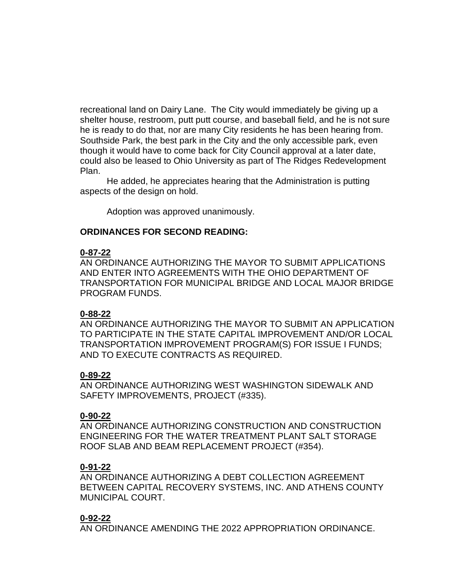recreational land on Dairy Lane. The City would immediately be giving up a shelter house, restroom, putt putt course, and baseball field, and he is not sure he is ready to do that, nor are many City residents he has been hearing from. Southside Park, the best park in the City and the only accessible park, even though it would have to come back for City Council approval at a later date, could also be leased to Ohio University as part of The Ridges Redevelopment Plan.

He added, he appreciates hearing that the Administration is putting aspects of the design on hold.

Adoption was approved unanimously.

## **ORDINANCES FOR SECOND READING:**

#### **0-87-22**

AN ORDINANCE AUTHORIZING THE MAYOR TO SUBMIT APPLICATIONS AND ENTER INTO AGREEMENTS WITH THE OHIO DEPARTMENT OF TRANSPORTATION FOR MUNICIPAL BRIDGE AND LOCAL MAJOR BRIDGE PROGRAM FUNDS.

#### **0-88-22**

AN ORDINANCE AUTHORIZING THE MAYOR TO SUBMIT AN APPLICATION TO PARTICIPATE IN THE STATE CAPITAL IMPROVEMENT AND/OR LOCAL TRANSPORTATION IMPROVEMENT PROGRAM(S) FOR ISSUE I FUNDS; AND TO EXECUTE CONTRACTS AS REQUIRED.

#### **0-89-22**

AN ORDINANCE AUTHORIZING WEST WASHINGTON SIDEWALK AND SAFETY IMPROVEMENTS, PROJECT (#335).

#### **0-90-22**

AN ORDINANCE AUTHORIZING CONSTRUCTION AND CONSTRUCTION ENGINEERING FOR THE WATER TREATMENT PLANT SALT STORAGE ROOF SLAB AND BEAM REPLACEMENT PROJECT (#354).

#### **0-91-22**

AN ORDINANCE AUTHORIZING A DEBT COLLECTION AGREEMENT BETWEEN CAPITAL RECOVERY SYSTEMS, INC. AND ATHENS COUNTY MUNICIPAL COURT.

## **0-92-22**

AN ORDINANCE AMENDING THE 2022 APPROPRIATION ORDINANCE.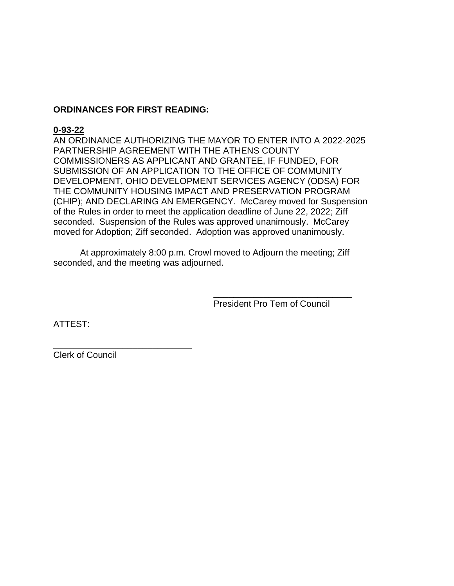## **ORDINANCES FOR FIRST READING:**

## **0-93-22**

AN ORDINANCE AUTHORIZING THE MAYOR TO ENTER INTO A 2022-2025 PARTNERSHIP AGREEMENT WITH THE ATHENS COUNTY COMMISSIONERS AS APPLICANT AND GRANTEE, IF FUNDED, FOR SUBMISSION OF AN APPLICATION TO THE OFFICE OF COMMUNITY DEVELOPMENT, OHIO DEVELOPMENT SERVICES AGENCY (ODSA) FOR THE COMMUNITY HOUSING IMPACT AND PRESERVATION PROGRAM (CHIP); AND DECLARING AN EMERGENCY. McCarey moved for Suspension of the Rules in order to meet the application deadline of June 22, 2022; Ziff seconded. Suspension of the Rules was approved unanimously. McCarey moved for Adoption; Ziff seconded. Adoption was approved unanimously.

At approximately 8:00 p.m. Crowl moved to Adjourn the meeting; Ziff seconded, and the meeting was adjourned.

President Pro Tem of Council

\_\_\_\_\_\_\_\_\_\_\_\_\_\_\_\_\_\_\_\_\_\_\_\_\_\_\_\_

ATTEST:

Clerk of Council

\_\_\_\_\_\_\_\_\_\_\_\_\_\_\_\_\_\_\_\_\_\_\_\_\_\_\_\_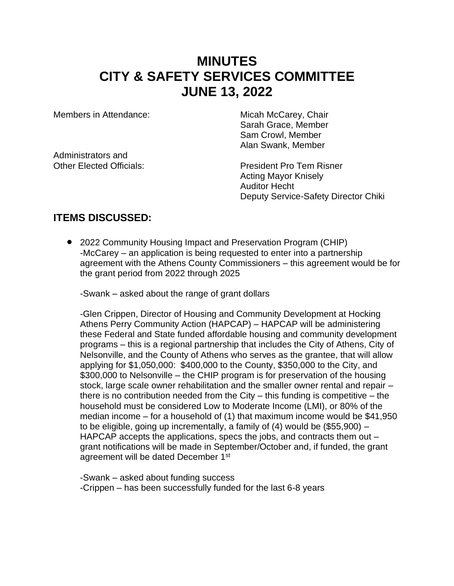# **MINUTES CITY & SAFETY SERVICES COMMITTEE JUNE 13, 2022**

Members in Attendance: Micah McCarey, Chair

Administrators and

Sarah Grace, Member Sam Crowl, Member Alan Swank, Member

Other Elected Officials: President Pro Tem Risner Acting Mayor Knisely Auditor Hecht Deputy Service-Safety Director Chiki

## **ITEMS DISCUSSED:**

• 2022 Community Housing Impact and Preservation Program (CHIP) -McCarey – an application is being requested to enter into a partnership agreement with the Athens County Commissioners – this agreement would be for the grant period from 2022 through 2025

-Swank – asked about the range of grant dollars

-Glen Crippen, Director of Housing and Community Development at Hocking Athens Perry Community Action (HAPCAP) – HAPCAP will be administering these Federal and State funded affordable housing and community development programs – this is a regional partnership that includes the City of Athens, City of Nelsonville, and the County of Athens who serves as the grantee, that will allow applying for \$1,050,000: \$400,000 to the County, \$350,000 to the City, and \$300,000 to Nelsonville – the CHIP program is for preservation of the housing stock, large scale owner rehabilitation and the smaller owner rental and repair – there is no contribution needed from the City  $-$  this funding is competitive  $-$  the household must be considered Low to Moderate Income (LMI), or 80% of the median income – for a household of (1) that maximum income would be \$41,950 to be eligible, going up incrementally, a family of (4) would be (\$55,900) – HAPCAP accepts the applications, specs the jobs, and contracts them out – grant notifications will be made in September/October and, if funded, the grant agreement will be dated December 1<sup>st</sup>

-Swank – asked about funding success -Crippen – has been successfully funded for the last 6-8 years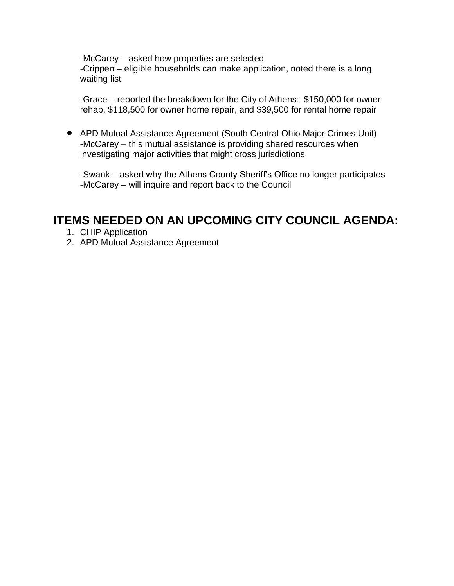-McCarey – asked how properties are selected -Crippen – eligible households can make application, noted there is a long waiting list

-Grace – reported the breakdown for the City of Athens: \$150,000 for owner rehab, \$118,500 for owner home repair, and \$39,500 for rental home repair

• APD Mutual Assistance Agreement (South Central Ohio Major Crimes Unit) -McCarey – this mutual assistance is providing shared resources when investigating major activities that might cross jurisdictions

-Swank – asked why the Athens County Sheriff's Office no longer participates -McCarey – will inquire and report back to the Council

# **ITEMS NEEDED ON AN UPCOMING CITY COUNCIL AGENDA:**

- 1. CHIP Application
- 2. APD Mutual Assistance Agreement